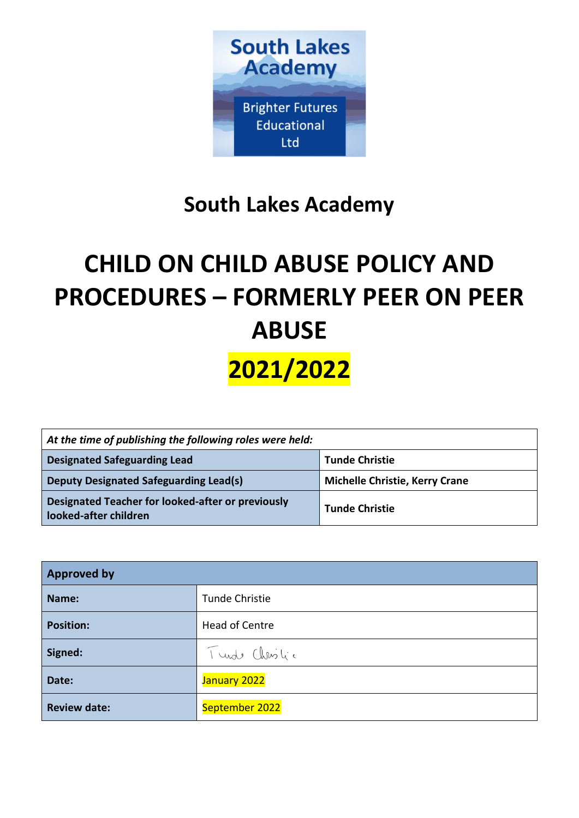

# **South Lakes Academy**

# **CHILD ON CHILD ABUSE POLICY AND PROCEDURES – FORMERLY PEER ON PEER ABUSE**

**2021/2022**

| At the time of publishing the following roles were held:                               |                       |  |
|----------------------------------------------------------------------------------------|-----------------------|--|
| <b>Designated Safeguarding Lead</b><br><b>Tunde Christie</b>                           |                       |  |
| <b>Deputy Designated Safeguarding Lead(s)</b><br><b>Michelle Christie, Kerry Crane</b> |                       |  |
| Designated Teacher for looked-after or previously<br>looked-after children             | <b>Tunde Christie</b> |  |

| <b>Approved by</b>  |                       |  |
|---------------------|-----------------------|--|
| Name:               | Tunde Christie        |  |
| <b>Position:</b>    | <b>Head of Centre</b> |  |
| Signed:             | Turde Christic        |  |
| Date:               | January 2022          |  |
| <b>Review date:</b> | September 2022        |  |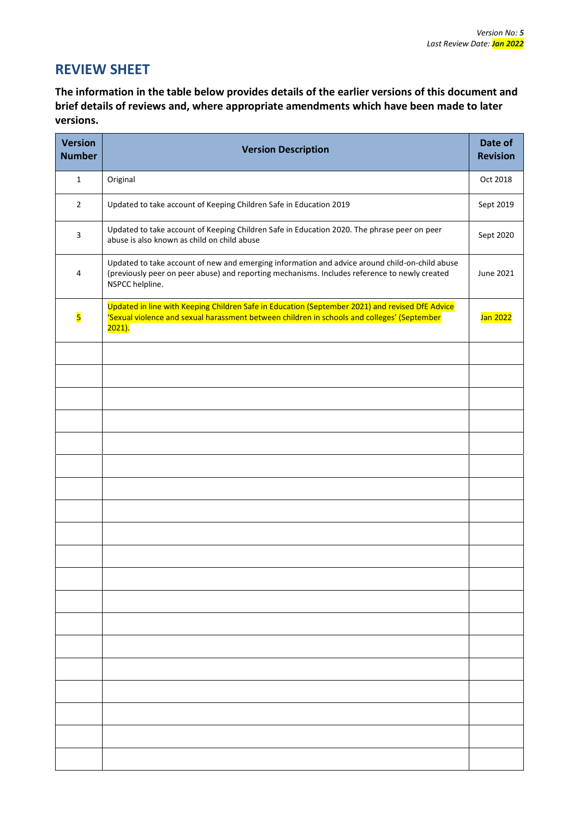# **REVIEW SHEET**

**The information in the table below provides details of the earlier versions of this document and brief details of reviews and, where appropriate amendments which have been made to later versions.** 

| <b>Version</b><br><b>Number</b> | <b>Version Description</b>                                                                                                                                                                                         |           |
|---------------------------------|--------------------------------------------------------------------------------------------------------------------------------------------------------------------------------------------------------------------|-----------|
| $\mathbf{1}$                    | Original                                                                                                                                                                                                           | Oct 2018  |
| $\overline{2}$                  | Updated to take account of Keeping Children Safe in Education 2019                                                                                                                                                 | Sept 2019 |
| $\overline{\mathbf{3}}$         | Updated to take account of Keeping Children Safe in Education 2020. The phrase peer on peer<br>abuse is also known as child on child abuse                                                                         | Sept 2020 |
| 4                               | Updated to take account of new and emerging information and advice around child-on-child abuse<br>(previously peer on peer abuse) and reporting mechanisms. Includes reference to newly created<br>NSPCC helpline. | June 2021 |
| $\overline{\mathbf{5}}$         | Updated in line with Keeping Children Safe in Education (September 2021) and revised DfE Advice<br>'Sexual violence and sexual harassment between children in schools and colleges' (September<br>$2021$ ).        |           |
|                                 |                                                                                                                                                                                                                    |           |
|                                 |                                                                                                                                                                                                                    |           |
|                                 |                                                                                                                                                                                                                    |           |
|                                 |                                                                                                                                                                                                                    |           |
|                                 |                                                                                                                                                                                                                    |           |
|                                 |                                                                                                                                                                                                                    |           |
|                                 |                                                                                                                                                                                                                    |           |
|                                 |                                                                                                                                                                                                                    |           |
|                                 |                                                                                                                                                                                                                    |           |
|                                 |                                                                                                                                                                                                                    |           |
|                                 |                                                                                                                                                                                                                    |           |
|                                 |                                                                                                                                                                                                                    |           |
|                                 |                                                                                                                                                                                                                    |           |
|                                 |                                                                                                                                                                                                                    |           |
|                                 |                                                                                                                                                                                                                    |           |
|                                 |                                                                                                                                                                                                                    |           |
|                                 |                                                                                                                                                                                                                    |           |
|                                 |                                                                                                                                                                                                                    |           |
|                                 |                                                                                                                                                                                                                    |           |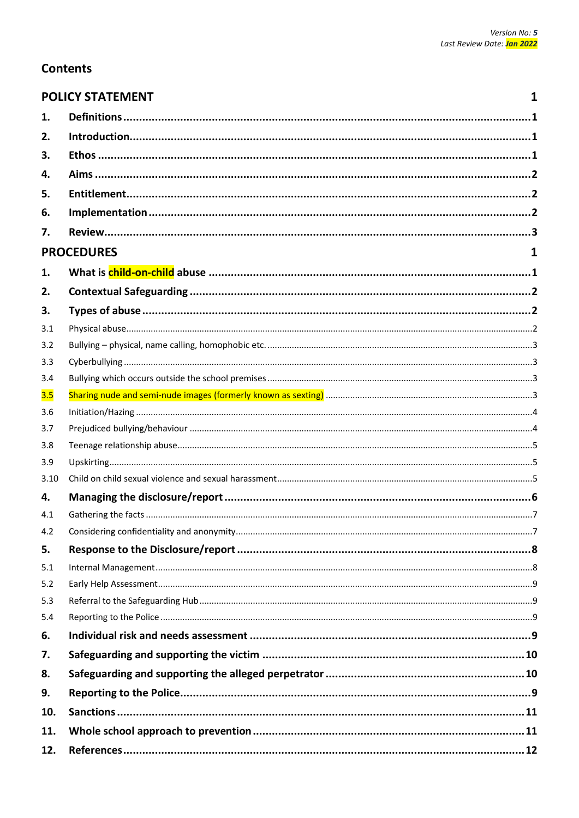$\mathbf{1}$ 

# **Contents**

|  | <b>POLICY STATEMENT</b> |  |
|--|-------------------------|--|

| 1.   |                   |  |
|------|-------------------|--|
| 2.   |                   |  |
| 3.   |                   |  |
| 4.   |                   |  |
| 5.   |                   |  |
| 6.   |                   |  |
| 7.   |                   |  |
|      | <b>PROCEDURES</b> |  |
|      |                   |  |
| 1.   |                   |  |
| 2.   |                   |  |
| 3.   |                   |  |
| 3.1  |                   |  |
| 3.2  |                   |  |
| 3.3  |                   |  |
| 3.4  |                   |  |
| 3.5  |                   |  |
| 3.6  |                   |  |
| 3.7  |                   |  |
| 3.8  |                   |  |
| 3.9  |                   |  |
| 3.10 |                   |  |
| 4.   |                   |  |
| 4.1  |                   |  |
| 4.2  |                   |  |
| 5.   |                   |  |
| 5.1  |                   |  |
| 5.2  |                   |  |
| 5.3  |                   |  |
| 5.4  |                   |  |
| 6.   |                   |  |
| 7.   |                   |  |
| 8.   |                   |  |
| 9.   |                   |  |
| 10.  |                   |  |
| 11.  |                   |  |
| 12.  |                   |  |
|      |                   |  |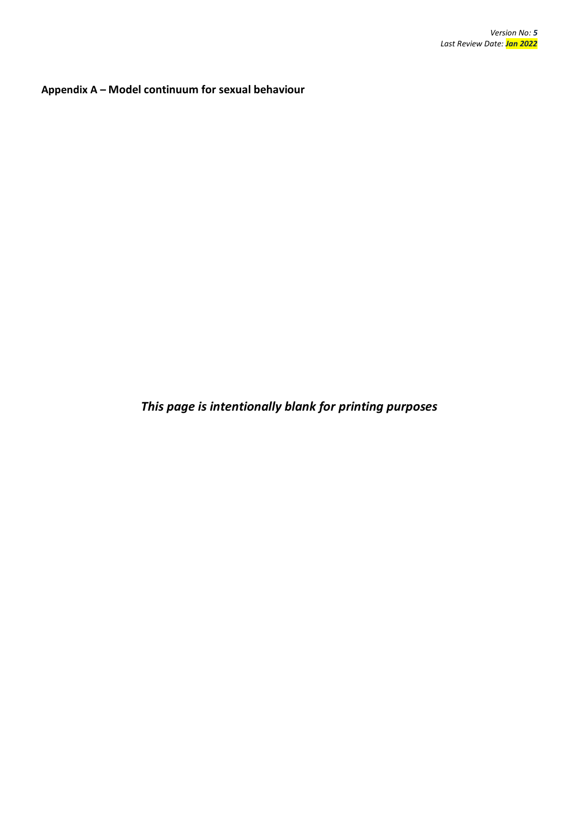**Appendix A – Model continuum for sexual behaviour**

*This page is intentionally blank for printing purposes*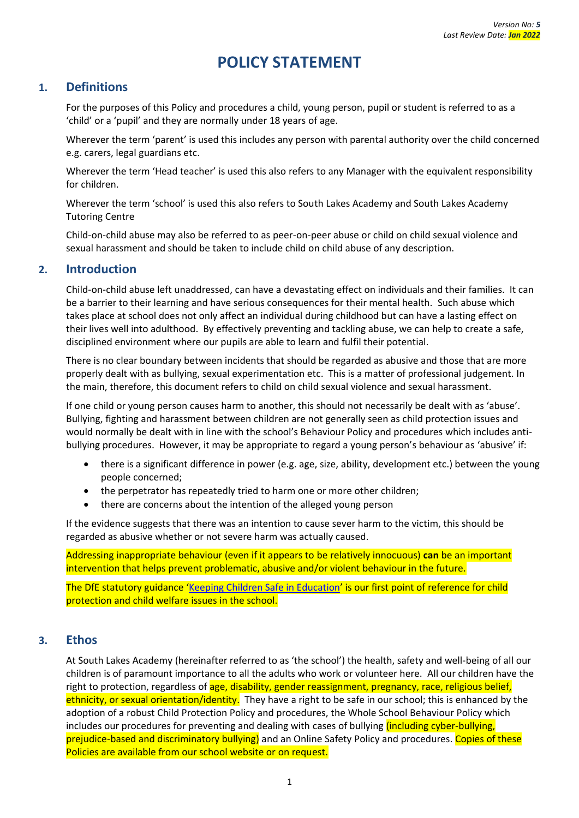# **POLICY STATEMENT**

# <span id="page-4-1"></span><span id="page-4-0"></span>**1. Definitions**

For the purposes of this Policy and procedures a child, young person, pupil or student is referred to as a 'child' or a 'pupil' and they are normally under 18 years of age.

Wherever the term 'parent' is used this includes any person with parental authority over the child concerned e.g. carers, legal guardians etc.

Wherever the term 'Head teacher' is used this also refers to any Manager with the equivalent responsibility for children.

Wherever the term 'school' is used this also refers to South Lakes Academy and South Lakes Academy Tutoring Centre

Child-on-child abuse may also be referred to as peer-on-peer abuse or child on child sexual violence and sexual harassment and should be taken to include child on child abuse of any description.

#### <span id="page-4-2"></span>**2. Introduction**

Child-on-child abuse left unaddressed, can have a devastating effect on individuals and their families. It can be a barrier to their learning and have serious consequences for their mental health. Such abuse which takes place at school does not only affect an individual during childhood but can have a lasting effect on their lives well into adulthood. By effectively preventing and tackling abuse, we can help to create a safe, disciplined environment where our pupils are able to learn and fulfil their potential.

There is no clear boundary between incidents that should be regarded as abusive and those that are more properly dealt with as bullying, sexual experimentation etc. This is a matter of professional judgement. In the main, therefore, this document refers to child on child sexual violence and sexual harassment.

If one child or young person causes harm to another, this should not necessarily be dealt with as 'abuse'. Bullying, fighting and harassment between children are not generally seen as child protection issues and would normally be dealt with in line with the school's Behaviour Policy and procedures which includes antibullying procedures. However, it may be appropriate to regard a young person's behaviour as 'abusive' if:

- there is a significant difference in power (e.g. age, size, ability, development etc.) between the young people concerned;
- the perpetrator has repeatedly tried to harm one or more other children;
- there are concerns about the intention of the alleged young person

If the evidence suggests that there was an intention to cause sever harm to the victim, this should be regarded as abusive whether or not severe harm was actually caused.

Addressing inappropriate behaviour (even if it appears to be relatively innocuous) **can** be an important intervention that helps prevent problematic, abusive and/or violent behaviour in the future.

The DfE statutory guidance '[Keeping Children Safe in](https://www.gov.uk/government/publications/keeping-children-safe-in-education--2) Education' is our first point of reference for child protection and child welfare issues in the school.

#### <span id="page-4-3"></span>**3. Ethos**

At South Lakes Academy (hereinafter referred to as 'the school') the health, safety and well-being of all our children is of paramount importance to all the adults who work or volunteer here. All our children have the right to protection, regardless of age, disability, gender reassignment, pregnancy, race, religious belief, ethnicity, or sexual orientation/identity. They have a right to be safe in our school; this is enhanced by the adoption of a robust Child Protection Policy and procedures, the Whole School Behaviour Policy which includes our procedures for preventing and dealing with cases of bullying *(including cyber-bullying,* prejudice-based and discriminatory bullying) and an Online Safety Policy and procedures. Copies of these Policies are available from our school website or on request.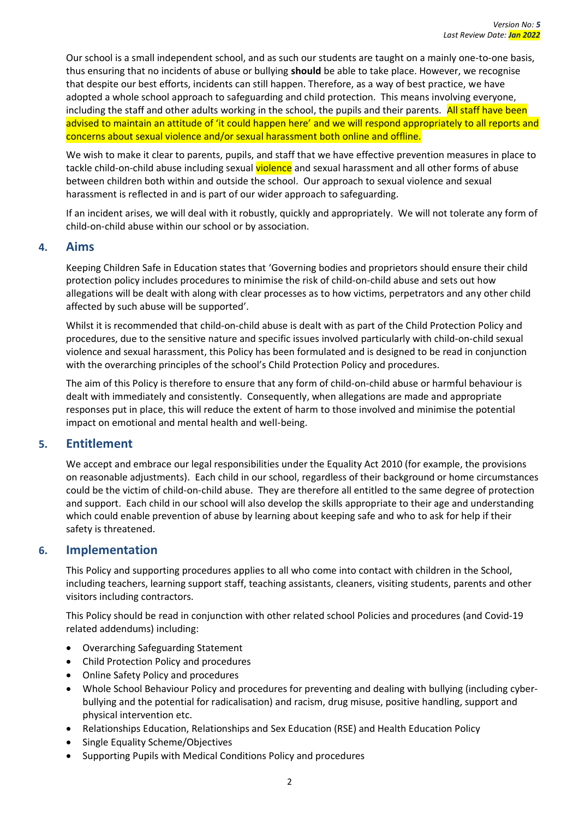Our school is a small independent school, and as such our students are taught on a mainly one-to-one basis, thus ensuring that no incidents of abuse or bullying **should** be able to take place. However, we recognise that despite our best efforts, incidents can still happen. Therefore, as a way of best practice, we have adopted a whole school approach to safeguarding and child protection. This means involving everyone, including the staff and other adults working in the school, the pupils and their parents. All staff have been advised to maintain an attitude of 'it could happen here' and we will respond appropriately to all reports and concerns about sexual violence and/or sexual harassment both online and offline.

We wish to make it clear to parents, pupils, and staff that we have effective prevention measures in place to tackle child-on-child abuse including sexual violence and sexual harassment and all other forms of abuse between children both within and outside the school. Our approach to sexual violence and sexual harassment is reflected in and is part of our wider approach to safeguarding.

If an incident arises, we will deal with it robustly, quickly and appropriately. We will not tolerate any form of child-on-child abuse within our school or by association.

#### <span id="page-5-0"></span>**4. Aims**

Keeping Children Safe in Education states that 'Governing bodies and proprietors should ensure their child protection policy includes procedures to minimise the risk of child-on-child abuse and sets out how allegations will be dealt with along with clear processes as to how victims, perpetrators and any other child affected by such abuse will be supported'.

Whilst it is recommended that child-on-child abuse is dealt with as part of the Child Protection Policy and procedures, due to the sensitive nature and specific issues involved particularly with child-on-child sexual violence and sexual harassment, this Policy has been formulated and is designed to be read in conjunction with the overarching principles of the school's Child Protection Policy and procedures.

The aim of this Policy is therefore to ensure that any form of child-on-child abuse or harmful behaviour is dealt with immediately and consistently. Consequently, when allegations are made and appropriate responses put in place, this will reduce the extent of harm to those involved and minimise the potential impact on emotional and mental health and well-being.

# <span id="page-5-1"></span>**5. Entitlement**

We accept and embrace our legal responsibilities under the Equality Act 2010 (for example, the provisions on reasonable adjustments). Each child in our school, regardless of their background or home circumstances could be the victim of child-on-child abuse. They are therefore all entitled to the same degree of protection and support. Each child in our school will also develop the skills appropriate to their age and understanding which could enable prevention of abuse by learning about keeping safe and who to ask for help if their safety is threatened.

# <span id="page-5-2"></span>**6. Implementation**

This Policy and supporting procedures applies to all who come into contact with children in the School, including teachers, learning support staff, teaching assistants, cleaners, visiting students, parents and other visitors including contractors.

This Policy should be read in conjunction with other related school Policies and procedures (and Covid-19 related addendums) including:

- Overarching Safeguarding Statement
- Child Protection Policy and procedures
- Online Safety Policy and procedures
- Whole School Behaviour Policy and procedures for preventing and dealing with bullying (including cyberbullying and the potential for radicalisation) and racism, drug misuse, positive handling, support and physical intervention etc.
- Relationships Education, Relationships and Sex Education (RSE) and Health Education Policy
- Single Equality Scheme/Objectives
- Supporting Pupils with Medical Conditions Policy and procedures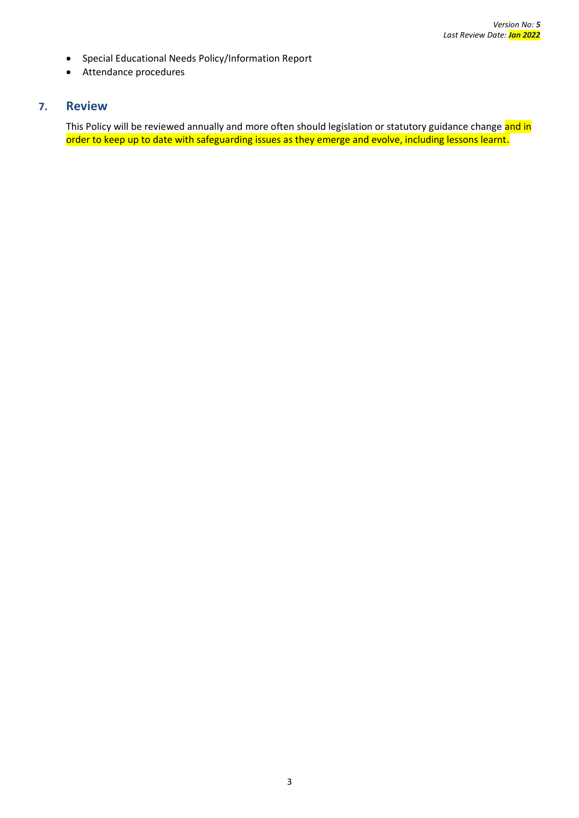- Special Educational Needs Policy/Information Report
- Attendance procedures

# <span id="page-6-0"></span>**7. Review**

This Policy will be reviewed annually and more often should legislation or statutory guidance change and in order to keep up to date with safeguarding issues as they emerge and evolve, including lessons learnt.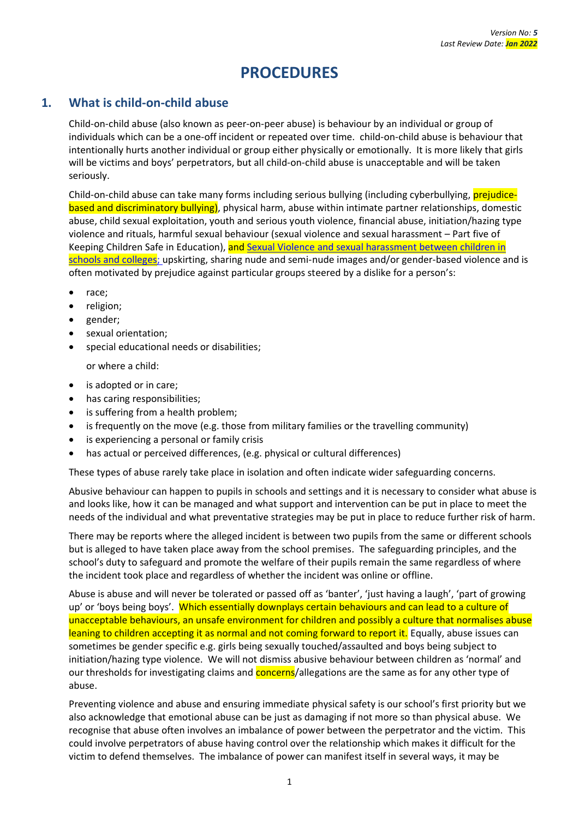# **PROCEDURES**

# <span id="page-7-1"></span><span id="page-7-0"></span>**1. What is child-on-child abuse**

Child-on-child abuse (also known as peer-on-peer abuse) is behaviour by an individual or group of individuals which can be a one-off incident or repeated over time. child-on-child abuse is behaviour that intentionally hurts another individual or group either physically or emotionally. It is more likely that girls will be victims and boys' perpetrators, but all child-on-child abuse is unacceptable and will be taken seriously.

Child-on-child abuse can take many forms including serious bullying (including cyberbullying, prejudicebased and discriminatory bullying), physical harm, abuse within intimate partner relationships, domestic abuse, child sexual exploitation, youth and serious youth violence, financial abuse, initiation/hazing type violence and rituals, harmful sexual behaviour (sexual violence and sexual harassment – Part five of Keeping Children Safe in Education), and Sexual Violence and sexual harassment between children in [schools and colleges;](https://www.gov.uk/government/publications/sexual-violence-and-sexual-harassment-between-children-in-schools-and-colleges) upskirting, sharing nude and semi-nude images and/or gender-based violence and is often motivated by prejudice against particular groups steered by a dislike for a person's:

- race;
- religion;
- gender;
- sexual orientation;
- special educational needs or disabilities;

or where a child:

- is adopted or in care;
- has caring responsibilities;
- is suffering from a health problem;
- is frequently on the move (e.g. those from military families or the travelling community)
- is experiencing a personal or family crisis
- has actual or perceived differences, (e.g. physical or cultural differences)

These types of abuse rarely take place in isolation and often indicate wider safeguarding concerns.

Abusive behaviour can happen to pupils in schools and settings and it is necessary to consider what abuse is and looks like, how it can be managed and what support and intervention can be put in place to meet the needs of the individual and what preventative strategies may be put in place to reduce further risk of harm.

There may be reports where the alleged incident is between two pupils from the same or different schools but is alleged to have taken place away from the school premises. The safeguarding principles, and the school's duty to safeguard and promote the welfare of their pupils remain the same regardless of where the incident took place and regardless of whether the incident was online or offline.

Abuse is abuse and will never be tolerated or passed off as 'banter', 'just having a laugh', 'part of growing up' or 'boys being boys'. Which essentially downplays certain behaviours and can lead to a culture of unacceptable behaviours, an unsafe environment for children and possibly a culture that normalises abuse leaning to children accepting it as normal and not coming forward to report it. Equally, abuse issues can sometimes be gender specific e.g. girls being sexually touched/assaulted and boys being subject to initiation/hazing type violence. We will not dismiss abusive behaviour between children as 'normal' and our thresholds for investigating claims and **concerns**/allegations are the same as for any other type of abuse.

Preventing violence and abuse and ensuring immediate physical safety is our school's first priority but we also acknowledge that emotional abuse can be just as damaging if not more so than physical abuse. We recognise that abuse often involves an imbalance of power between the perpetrator and the victim. This could involve perpetrators of abuse having control over the relationship which makes it difficult for the victim to defend themselves. The imbalance of power can manifest itself in several ways, it may be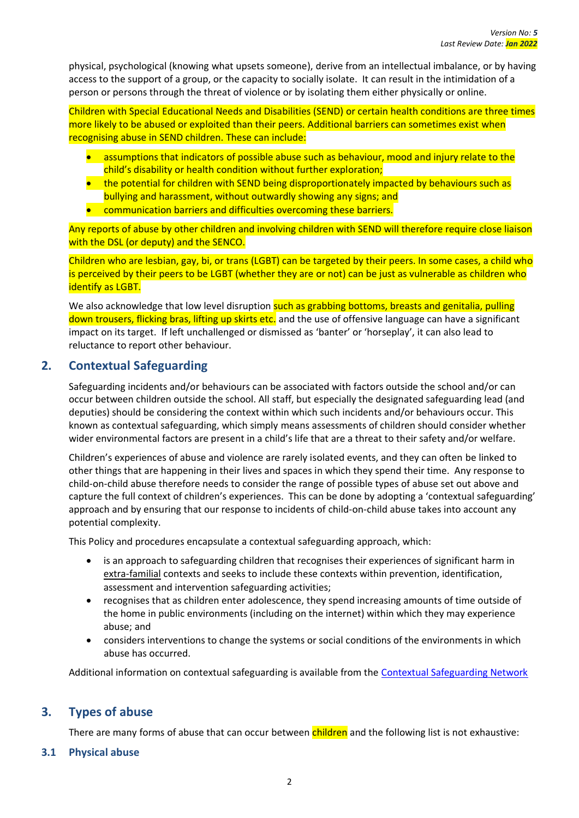physical, psychological (knowing what upsets someone), derive from an intellectual imbalance, or by having access to the support of a group, or the capacity to socially isolate. It can result in the intimidation of a person or persons through the threat of violence or by isolating them either physically or online.

Children with Special Educational Needs and Disabilities (SEND) or certain health conditions are three times more likely to be abused or exploited than their peers. Additional barriers can sometimes exist when recognising abuse in SEND children. These can include:

- assumptions that indicators of possible abuse such as behaviour, mood and injury relate to the child's disability or health condition without further exploration;
- the potential for children with SEND being disproportionately impacted by behaviours such as bullying and harassment, without outwardly showing any signs; and
- communication barriers and difficulties overcoming these barriers.

Any reports of abuse by other children and involving children with SEND will therefore require close liaison with the DSL (or deputy) and the SENCO.

Children who are lesbian, gay, bi, or trans (LGBT) can be targeted by their peers. In some cases, a child who is perceived by their peers to be LGBT (whether they are or not) can be just as vulnerable as children who identify as LGBT.

We also acknowledge that low level disruption such as grabbing bottoms, breasts and genitalia, pulling down trousers, flicking bras, lifting up skirts etc. and the use of offensive language can have a significant impact on its target. If left unchallenged or dismissed as 'banter' or 'horseplay', it can also lead to reluctance to report other behaviour.

# <span id="page-8-0"></span>**2. Contextual Safeguarding**

Safeguarding incidents and/or behaviours can be associated with factors outside the school and/or can occur between children outside the school. All staff, but especially the designated safeguarding lead (and deputies) should be considering the context within which such incidents and/or behaviours occur. This known as contextual safeguarding, which simply means assessments of children should consider whether wider environmental factors are present in a child's life that are a threat to their safety and/or welfare.

Children's experiences of abuse and violence are rarely isolated events, and they can often be linked to other things that are happening in their lives and spaces in which they spend their time. Any response to child-on-child abuse therefore needs to consider the range of possible types of abuse set out above and capture the full context of children's experiences. This can be done by adopting a 'contextual safeguarding' approach and by ensuring that our response to incidents of child-on-child abuse takes into account any potential complexity.

This Policy and procedures encapsulate a contextual safeguarding approach, which:

- is an approach to safeguarding children that recognises their experiences of significant harm in extra-familial contexts and seeks to include these contexts within prevention, identification, assessment and intervention safeguarding activities;
- recognises that as children enter adolescence, they spend increasing amounts of time outside of the home in public environments (including on the internet) within which they may experience abuse; and
- considers interventions to change the systems or social conditions of the environments in which abuse has occurred.

Additional information on contextual safeguarding is available from the [Contextual Safeguarding Network](https://contextualsafeguarding.org.uk/about/what-is-contextual-safeguarding)

# <span id="page-8-1"></span>**3. Types of abuse**

There are many forms of abuse that can occur between children and the following list is not exhaustive:

#### <span id="page-8-2"></span>**3.1 Physical abuse**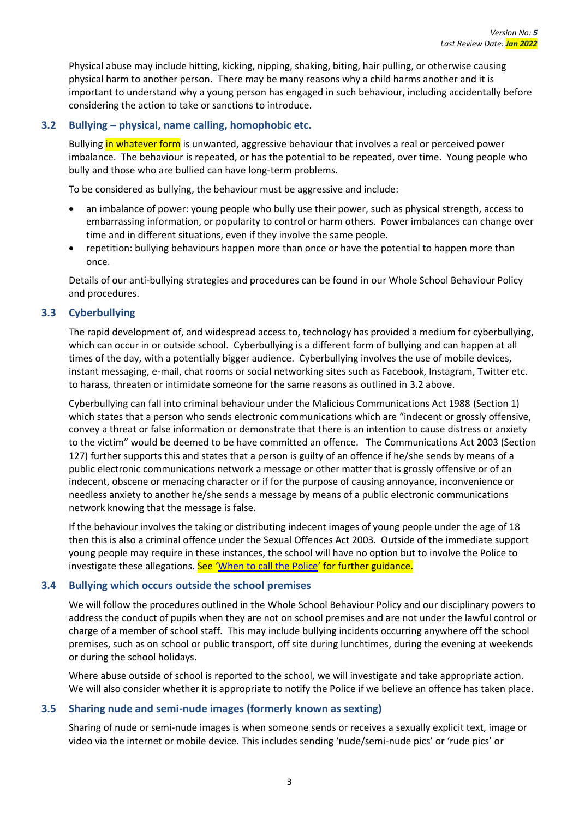Physical abuse may include hitting, kicking, nipping, shaking, biting, hair pulling, or otherwise causing physical harm to another person. There may be many reasons why a child harms another and it is important to understand why a young person has engaged in such behaviour, including accidentally before considering the action to take or sanctions to introduce.

#### <span id="page-9-0"></span>**3.2 Bullying – physical, name calling, homophobic etc.**

Bullying in whatever form is unwanted, aggressive behaviour that involves a real or perceived power imbalance. The behaviour is repeated, or has the potential to be repeated, over time. Young people who bully and those who are bullied can have long-term problems.

To be considered as bullying, the behaviour must be aggressive and include:

- an imbalance of power: young people who bully use their power, such as physical strength, access to embarrassing information, or popularity to control or harm others. Power imbalances can change over time and in different situations, even if they involve the same people.
- repetition: bullying behaviours happen more than once or have the potential to happen more than once.

Details of our anti-bullying strategies and procedures can be found in our Whole School Behaviour Policy and procedures.

#### <span id="page-9-1"></span>**3.3 Cyberbullying**

The rapid development of, and widespread access to, technology has provided a medium for cyberbullying, which can occur in or outside school. Cyberbullying is a different form of bullying and can happen at all times of the day, with a potentially bigger audience. Cyberbullying involves the use of mobile devices, instant messaging, e-mail, chat rooms or social networking sites such as Facebook, Instagram, Twitter etc. to harass, threaten or intimidate someone for the same reasons as outlined in 3.2 above.

Cyberbullying can fall into criminal behaviour under the Malicious Communications Act 1988 (Section 1) which states that a person who sends electronic communications which are "indecent or grossly offensive, convey a threat or false information or demonstrate that there is an intention to cause distress or anxiety to the victim" would be deemed to be have committed an offence. The Communications Act 2003 (Section 127) further supports this and states that a person is guilty of an offence if he/she sends by means of a public electronic communications network a message or other matter that is grossly offensive or of an indecent, obscene or menacing character or if for the purpose of causing annoyance, inconvenience or needless anxiety to another he/she sends a message by means of a public electronic communications network knowing that the message is false.

If the behaviour involves the taking or distributing indecent images of young people under the age of 18 then this is also a criminal offence under the Sexual Offences Act 2003. Outside of the immediate support young people may require in these instances, the school will have no option but to involve the Police to investigate these allegations. See '[When to call the Police](https://www.npcc.police.uk/documents/Children%20and%20Young%20people/When%20to%20call%20police%20guidance%20for%20schools%20and%20colleges.pdf)' for further guidance.

#### <span id="page-9-2"></span>**3.4 Bullying which occurs outside the school premises**

We will follow the procedures outlined in the Whole School Behaviour Policy and our disciplinary powers to address the conduct of pupils when they are not on school premises and are not under the lawful control or charge of a member of school staff. This may include bullying incidents occurring anywhere off the school premises, such as on school or public transport, off site during lunchtimes, during the evening at weekends or during the school holidays.

Where abuse outside of school is reported to the school, we will investigate and take appropriate action. We will also consider whether it is appropriate to notify the Police if we believe an offence has taken place.

#### <span id="page-9-3"></span>**3.5 Sharing nude and semi-nude images (formerly known as sexting)**

Sharing of nude or semi-nude images is when someone sends or receives a sexually explicit text, image or video via the internet or mobile device. This includes sending 'nude/semi-nude pics' or 'rude pics' or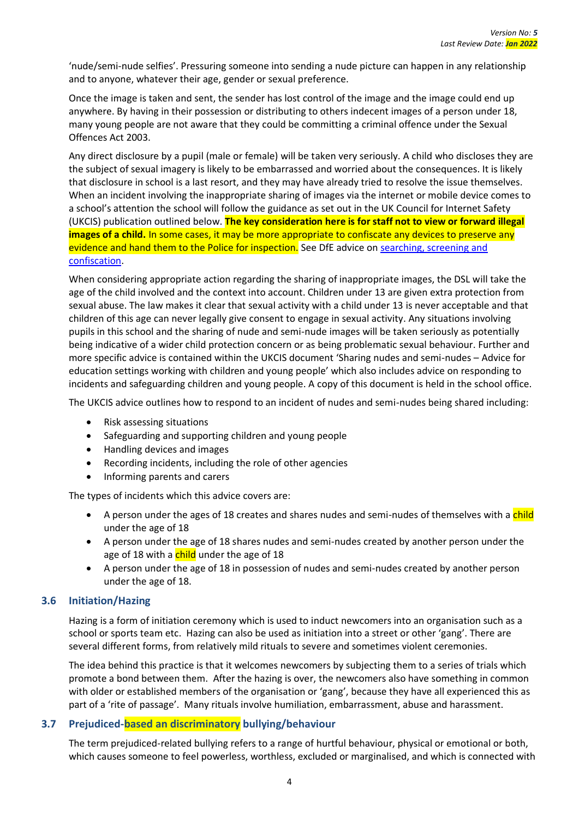'nude/semi-nude selfies'. Pressuring someone into sending a nude picture can happen in any relationship and to anyone, whatever their age, gender or sexual preference.

Once the image is taken and sent, the sender has lost control of the image and the image could end up anywhere. By having in their possession or distributing to others indecent images of a person under 18, many young people are not aware that they could be committing a criminal offence under the Sexual Offences Act 2003.

Any direct disclosure by a pupil (male or female) will be taken very seriously. A child who discloses they are the subject of sexual imagery is likely to be embarrassed and worried about the consequences. It is likely that disclosure in school is a last resort, and they may have already tried to resolve the issue themselves. When an incident involving the inappropriate sharing of images via the internet or mobile device comes to a school's attention the school will follow the guidance as set out in the UK Council for Internet Safety (UKCIS) publication outlined below. **The key consideration here is for staff not to view or forward illegal images of a child.** In some cases, it may be more appropriate to confiscate any devices to preserve any evidence and hand them to the Police for inspection. See DfE advice on searching, screening and [confiscation.](https://assets.publishing.service.gov.uk/government/uploads/system/uploads/attachment_data/file/674416/Searching_screening_and_confiscation.pdf)

When considering appropriate action regarding the sharing of inappropriate images, the DSL will take the age of the child involved and the context into account. Children under 13 are given extra protection from sexual abuse. The law makes it clear that sexual activity with a child under 13 is never acceptable and that children of this age can never legally give consent to engage in sexual activity. Any situations involving pupils in this school and the sharing of nude and semi-nude images will be taken seriously as potentially being indicative of a wider child protection concern or as being problematic sexual behaviour. Further and more specific advice is contained within the UKCIS document 'Sharing nudes and semi-nudes – Advice for education settings working with children and young people' which also includes advice on responding to incidents and safeguarding children and young people. A copy of this document is held in the school office.

The UKCIS advice outlines how to respond to an incident of nudes and semi-nudes being shared including:

- Risk assessing situations
- Safeguarding and supporting children and young people
- Handling devices and images
- Recording incidents, including the role of other agencies
- Informing parents and carers

The types of incidents which this advice covers are:

- A person under the ages of 18 creates and shares nudes and semi-nudes of themselves with a child under the age of 18
- A person under the age of 18 shares nudes and semi-nudes created by another person under the age of 18 with a child under the age of 18
- A person under the age of 18 in possession of nudes and semi-nudes created by another person under the age of 18.

#### <span id="page-10-0"></span>**3.6 Initiation/Hazing**

Hazing is a form of initiation ceremony which is used to induct newcomers into an organisation such as a school or sports team etc. Hazing can also be used as initiation into a street or other 'gang'. There are several different forms, from relatively mild rituals to severe and sometimes violent ceremonies.

The idea behind this practice is that it welcomes newcomers by subjecting them to a series of trials which promote a bond between them. After the hazing is over, the newcomers also have something in common with older or established members of the organisation or 'gang', because they have all experienced this as part of a 'rite of passage'. Many rituals involve humiliation, embarrassment, abuse and harassment.

#### <span id="page-10-1"></span>**3.7 Prejudiced-based an discriminatory bullying/behaviour**

The term prejudiced-related bullying refers to a range of hurtful behaviour, physical or emotional or both, which causes someone to feel powerless, worthless, excluded or marginalised, and which is connected with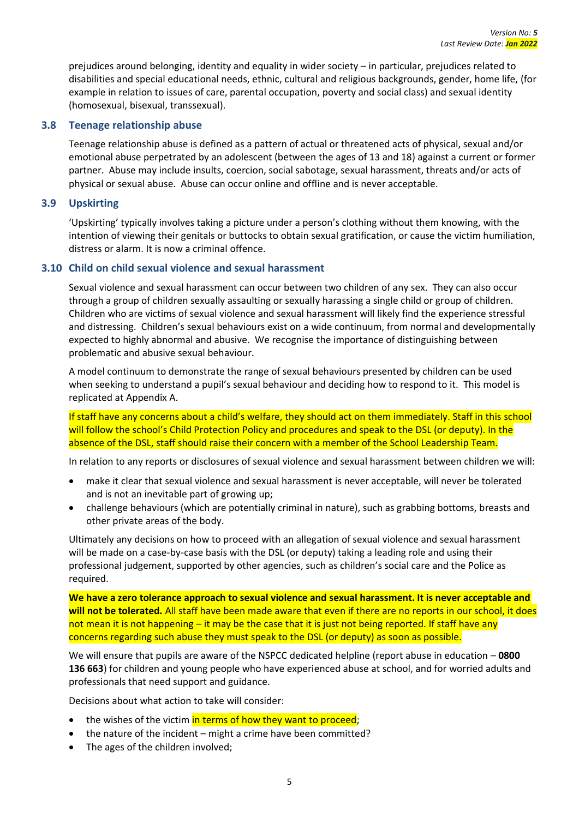prejudices around belonging, identity and equality in wider society – in particular, prejudices related to disabilities and special educational needs, ethnic, cultural and religious backgrounds, gender, home life, (for example in relation to issues of care, parental occupation, poverty and social class) and sexual identity (homosexual, bisexual, transsexual).

#### <span id="page-11-0"></span>**3.8 Teenage relationship abuse**

Teenage relationship abuse is defined as a pattern of actual or threatened acts of physical, sexual and/or emotional abuse perpetrated by an adolescent (between the ages of 13 and 18) against a current or former partner. Abuse may include insults, coercion, social sabotage, sexual harassment, threats and/or acts of physical or sexual abuse. Abuse can occur online and offline and is never acceptable.

#### <span id="page-11-1"></span>**3.9 Upskirting**

'Upskirting' typically involves taking a picture under a person's clothing without them knowing, with the intention of viewing their genitals or buttocks to obtain sexual gratification, or cause the victim humiliation, distress or alarm. It is now a criminal offence.

#### <span id="page-11-2"></span>**3.10 Child on child sexual violence and sexual harassment**

Sexual violence and sexual harassment can occur between two children of any sex. They can also occur through a group of children sexually assaulting or sexually harassing a single child or group of children. Children who are victims of sexual violence and sexual harassment will likely find the experience stressful and distressing. Children's sexual behaviours exist on a wide continuum, from normal and developmentally expected to highly abnormal and abusive. We recognise the importance of distinguishing between problematic and abusive sexual behaviour.

A model continuum to demonstrate the range of sexual behaviours presented by children can be used when seeking to understand a pupil's sexual behaviour and deciding how to respond to it. This model is replicated at Appendix A.

If staff have any concerns about a child's welfare, they should act on them immediately. Staff in this school will follow the school's Child Protection Policy and procedures and speak to the DSL (or deputy). In the absence of the DSL, staff should raise their concern with a member of the School Leadership Team.

In relation to any reports or disclosures of sexual violence and sexual harassment between children we will:

- make it clear that sexual violence and sexual harassment is never acceptable, will never be tolerated and is not an inevitable part of growing up;
- challenge behaviours (which are potentially criminal in nature), such as grabbing bottoms, breasts and other private areas of the body.

Ultimately any decisions on how to proceed with an allegation of sexual violence and sexual harassment will be made on a case-by-case basis with the DSL (or deputy) taking a leading role and using their professional judgement, supported by other agencies, such as children's social care and the Police as required.

**We have a zero tolerance approach to sexual violence and sexual harassment. It is never acceptable and will not be tolerated.** All staff have been made aware that even if there are no reports in our school, it does not mean it is not happening – it may be the case that it is just not being reported. If staff have any concerns regarding such abuse they must speak to the DSL (or deputy) as soon as possible.

We will ensure that pupils are aware of the NSPCC dedicated helpline (report abuse in education – **0800 136 663**) for children and young people who have experienced abuse at school, and for worried adults and professionals that need support and guidance.

Decisions about what action to take will consider:

- the wishes of the victim in terms of how they want to proceed:
- the nature of the incident might a crime have been committed?
- The ages of the children involved;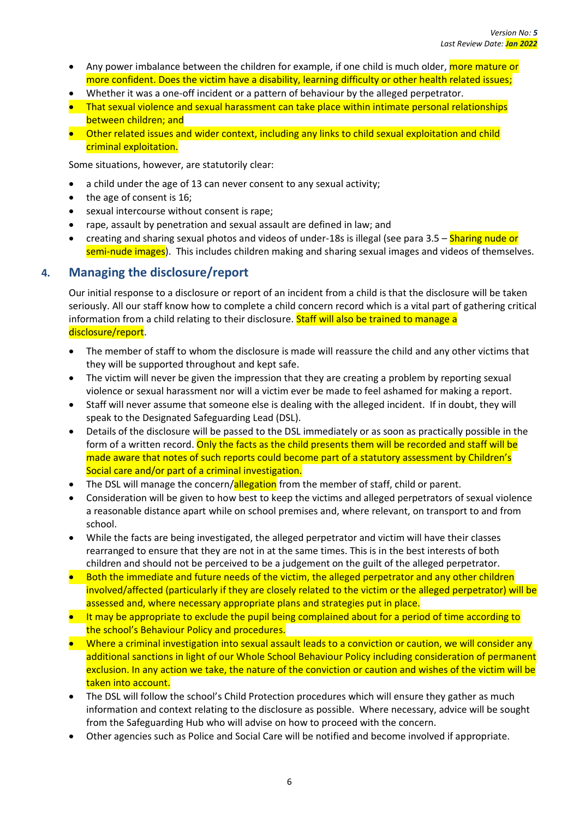- Any power imbalance between the children for example, if one child is much older, more mature or more confident. Does the victim have a disability, learning difficulty or other health related issues;
- Whether it was a one-off incident or a pattern of behaviour by the alleged perpetrator.
- That sexual violence and sexual harassment can take place within intimate personal relationships between children; and
- Other related issues and wider context, including any links to child sexual exploitation and child criminal exploitation.

Some situations, however, are statutorily clear:

- a child under the age of 13 can never consent to any sexual activity;
- the age of consent is 16;
- sexual intercourse without consent is rape;
- rape, assault by penetration and sexual assault are defined in law; and
- creating and sharing sexual photos and videos of under-18s is illegal (see para 3.5 Sharing nude or semi-nude images). This includes children making and sharing sexual images and videos of themselves.

# <span id="page-12-0"></span>**4. Managing the disclosure/report**

Our initial response to a disclosure or report of an incident from a child is that the disclosure will be taken seriously. All our staff know how to complete a child concern record which is a vital part of gathering critical information from a child relating to their disclosure. Staff will also be trained to manage a disclosure/report.

- The member of staff to whom the disclosure is made will reassure the child and any other victims that they will be supported throughout and kept safe.
- The victim will never be given the impression that they are creating a problem by reporting sexual violence or sexual harassment nor will a victim ever be made to feel ashamed for making a report.
- Staff will never assume that someone else is dealing with the alleged incident. If in doubt, they will speak to the Designated Safeguarding Lead (DSL).
- Details of the disclosure will be passed to the DSL immediately or as soon as practically possible in the form of a written record. Only the facts as the child presents them will be recorded and staff will be made aware that notes of such reports could become part of a statutory assessment by Children's Social care and/or part of a criminal investigation.
- The DSL will manage the concern/allegation from the member of staff, child or parent.
- Consideration will be given to how best to keep the victims and alleged perpetrators of sexual violence a reasonable distance apart while on school premises and, where relevant, on transport to and from school.
- While the facts are being investigated, the alleged perpetrator and victim will have their classes rearranged to ensure that they are not in at the same times. This is in the best interests of both children and should not be perceived to be a judgement on the guilt of the alleged perpetrator.
- Both the immediate and future needs of the victim, the alleged perpetrator and any other children involved/affected (particularly if they are closely related to the victim or the alleged perpetrator) will be assessed and, where necessary appropriate plans and strategies put in place.
- It may be appropriate to exclude the pupil being complained about for a period of time according to the school's Behaviour Policy and procedures.
- Where a criminal investigation into sexual assault leads to a conviction or caution, we will consider any additional sanctions in light of our Whole School Behaviour Policy including consideration of permanent exclusion. In any action we take, the nature of the conviction or caution and wishes of the victim will be taken into account.
- The DSL will follow the school's Child Protection procedures which will ensure they gather as much information and context relating to the disclosure as possible. Where necessary, advice will be sought from the Safeguarding Hub who will advise on how to proceed with the concern.
- Other agencies such as Police and Social Care will be notified and become involved if appropriate.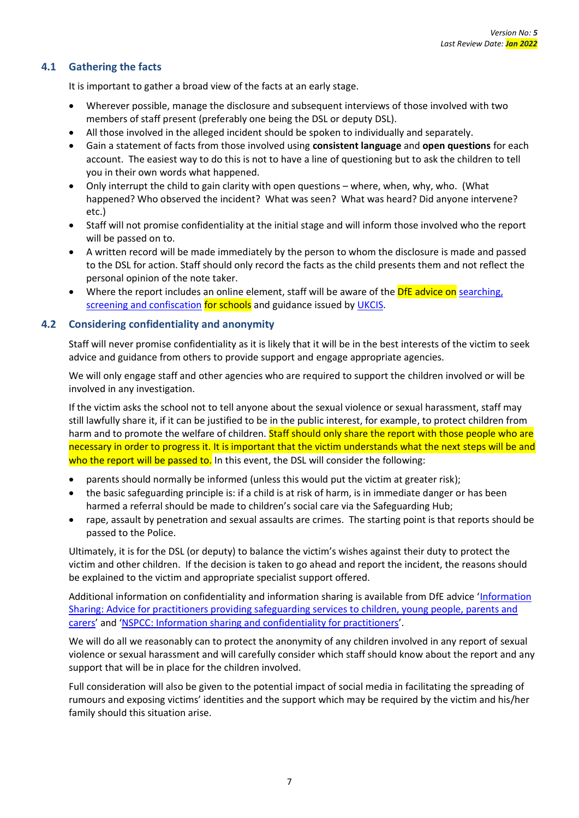#### <span id="page-13-0"></span>**4.1 Gathering the facts**

It is important to gather a broad view of the facts at an early stage.

- Wherever possible, manage the disclosure and subsequent interviews of those involved with two members of staff present (preferably one being the DSL or deputy DSL).
- All those involved in the alleged incident should be spoken to individually and separately.
- Gain a statement of facts from those involved using **consistent language** and **open questions** for each account. The easiest way to do this is not to have a line of questioning but to ask the children to tell you in their own words what happened.
- Only interrupt the child to gain clarity with open questions where, when, why, who. (What happened? Who observed the incident? What was seen? What was heard? Did anyone intervene? etc.)
- Staff will not promise confidentiality at the initial stage and will inform those involved who the report will be passed on to.
- A written record will be made immediately by the person to whom the disclosure is made and passed to the DSL for action. Staff should only record the facts as the child presents them and not reflect the personal opinion of the note taker.
- Where the report includes an online element, staff will be aware of the **DfE advice on** searching, [screening and confiscation](https://www.gov.uk/government/publications/searching-screening-and-confiscation) for schools and guidance issued b[y UKCIS.](https://assets.publishing.service.gov.uk/government/uploads/system/uploads/attachment_data/file/947545/UKCIS_sharing_nudes_and_semi_nudes_advice_for_education_settings_V2.pdf)

#### <span id="page-13-1"></span>**4.2 Considering confidentiality and anonymity**

Staff will never promise confidentiality as it is likely that it will be in the best interests of the victim to seek advice and guidance from others to provide support and engage appropriate agencies.

We will only engage staff and other agencies who are required to support the children involved or will be involved in any investigation.

If the victim asks the school not to tell anyone about the sexual violence or sexual harassment, staff may still lawfully share it, if it can be justified to be in the public interest, for example, to protect children from harm and to promote the welfare of children. Staff should only share the report with those people who are necessary in order to progress it. It is important that the victim understands what the next steps will be and who the report will be passed to. In this event, the DSL will consider the following:

- parents should normally be informed (unless this would put the victim at greater risk);
- the basic safeguarding principle is: if a child is at risk of harm, is in immediate danger or has been harmed a referral should be made to children's social care via the Safeguarding Hub;
- rape, assault by penetration and sexual assaults are crimes. The starting point is that reports should be passed to the Police.

Ultimately, it is for the DSL (or deputy) to balance the victim's wishes against their duty to protect the victim and other children. If the decision is taken to go ahead and report the incident, the reasons should be explained to the victim and appropriate specialist support offered.

Additional information on confidentiality and information sharing is available from DfE advice '[Information](https://www.gov.uk/government/publications/safeguarding-practitioners-information-sharing-advice)  [Sharing: Advice for practitioners providing safeguarding services to children, young people, parents and](https://www.gov.uk/government/publications/safeguarding-practitioners-information-sharing-advice)  [carers](https://www.gov.uk/government/publications/safeguarding-practitioners-information-sharing-advice)' and '[NSPCC: Information sharing and confidentiality for practitioners](https://www.nspcc.org.uk/globalassets/documents/information-service/information-sharing-confidentiality-practitioners.pdf)'.

We will do all we reasonably can to protect the anonymity of any children involved in any report of sexual violence or sexual harassment and will carefully consider which staff should know about the report and any support that will be in place for the children involved.

Full consideration will also be given to the potential impact of social media in facilitating the spreading of rumours and exposing victims' identities and the support which may be required by the victim and his/her family should this situation arise.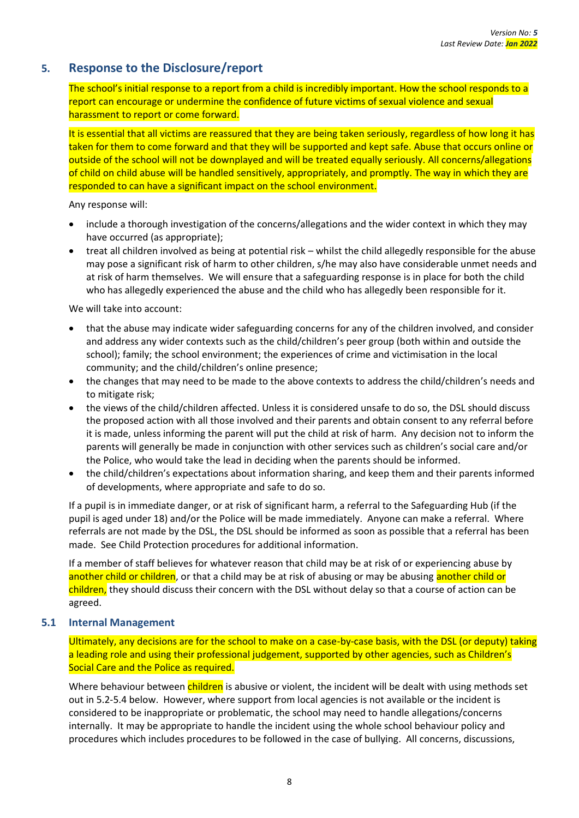# <span id="page-14-0"></span>**5. Response to the Disclosure/report**

The school's initial response to a report from a child is incredibly important. How the school responds to a report can encourage or undermine the confidence of future victims of sexual violence and sexual harassment to report or come forward.

It is essential that all victims are reassured that they are being taken seriously, regardless of how long it has taken for them to come forward and that they will be supported and kept safe. Abuse that occurs online or outside of the school will not be downplayed and will be treated equally seriously. All concerns/allegations of child on child abuse will be handled sensitively, appropriately, and promptly. The way in which they are responded to can have a significant impact on the school environment.

Any response will:

- include a thorough investigation of the concerns/allegations and the wider context in which they may have occurred (as appropriate);
- treat all children involved as being at potential risk whilst the child allegedly responsible for the abuse may pose a significant risk of harm to other children, s/he may also have considerable unmet needs and at risk of harm themselves. We will ensure that a safeguarding response is in place for both the child who has allegedly experienced the abuse and the child who has allegedly been responsible for it.

We will take into account:

- that the abuse may indicate wider safeguarding concerns for any of the children involved, and consider and address any wider contexts such as the child/children's peer group (both within and outside the school); family; the school environment; the experiences of crime and victimisation in the local community; and the child/children's online presence;
- the changes that may need to be made to the above contexts to address the child/children's needs and to mitigate risk;
- the views of the child/children affected. Unless it is considered unsafe to do so, the DSL should discuss the proposed action with all those involved and their parents and obtain consent to any referral before it is made, unless informing the parent will put the child at risk of harm. Any decision not to inform the parents will generally be made in conjunction with other services such as children's social care and/or the Police, who would take the lead in deciding when the parents should be informed.
- the child/children's expectations about information sharing, and keep them and their parents informed of developments, where appropriate and safe to do so.

If a pupil is in immediate danger, or at risk of significant harm, a referral to the Safeguarding Hub (if the pupil is aged under 18) and/or the Police will be made immediately. Anyone can make a referral. Where referrals are not made by the DSL, the DSL should be informed as soon as possible that a referral has been made. See Child Protection procedures for additional information.

If a member of staff believes for whatever reason that child may be at risk of or experiencing abuse by another child or children, or that a child may be at risk of abusing or may be abusing another child or children, they should discuss their concern with the DSL without delay so that a course of action can be agreed.

#### <span id="page-14-1"></span>**5.1 Internal Management**

Ultimately, any decisions are for the school to make on a case-by-case basis, with the DSL (or deputy) taking a leading role and using their professional judgement, supported by other agencies, such as Children's Social Care and the Police as required.

Where behaviour between children is abusive or violent, the incident will be dealt with using methods set out in 5.2-5.4 below. However, where support from local agencies is not available or the incident is considered to be inappropriate or problematic, the school may need to handle allegations/concerns internally. It may be appropriate to handle the incident using the whole school behaviour policy and procedures which includes procedures to be followed in the case of bullying. All concerns, discussions,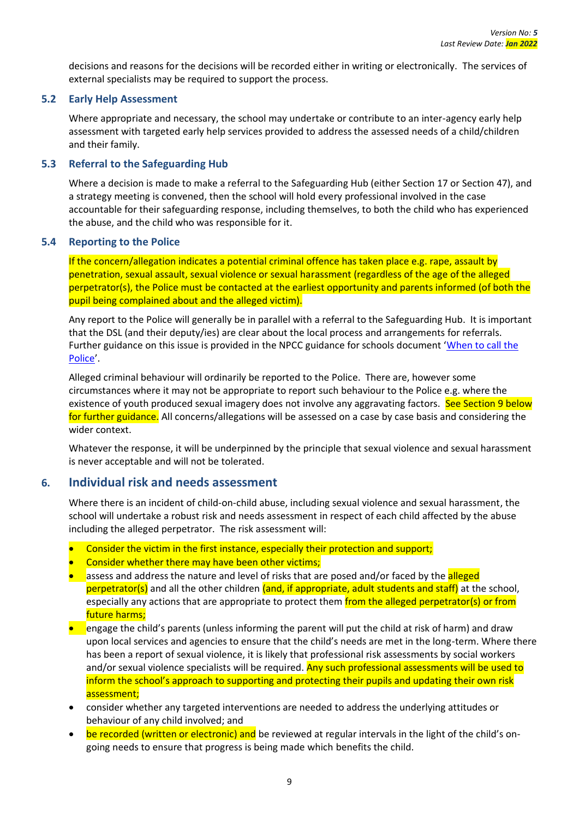decisions and reasons for the decisions will be recorded either in writing or electronically. The services of external specialists may be required to support the process.

#### <span id="page-15-0"></span>**5.2 Early Help Assessment**

Where appropriate and necessary, the school may undertake or contribute to an inter-agency early help assessment with targeted early help services provided to address the assessed needs of a child/children and their family.

#### <span id="page-15-1"></span>**5.3 Referral to the Safeguarding Hub**

Where a decision is made to make a referral to the Safeguarding Hub (either Section 17 or Section 47), and a strategy meeting is convened, then the school will hold every professional involved in the case accountable for their safeguarding response, including themselves, to both the child who has experienced the abuse, and the child who was responsible for it.

#### <span id="page-15-2"></span>**5.4 Reporting to the Police**

If the concern/allegation indicates a potential criminal offence has taken place e.g. rape, assault by penetration, sexual assault, sexual violence or sexual harassment (regardless of the age of the alleged perpetrator(s), the Police must be contacted at the earliest opportunity and parents informed (of both the pupil being complained about and the alleged victim).

Any report to the Police will generally be in parallel with a referral to the Safeguarding Hub. It is important that the DSL (and their deputy/ies) are clear about the local process and arrangements for referrals. Further guidance on this issue is provided in the NPCC guidance for schools document '[When to call the](https://www.npcc.police.uk/documents/Children%20and%20Young%20people/When%20to%20call%20the%20police%20guidance%20for%20schools%20and%20colleges.pdf)  [Police](https://www.npcc.police.uk/documents/Children%20and%20Young%20people/When%20to%20call%20the%20police%20guidance%20for%20schools%20and%20colleges.pdf)'.

Alleged criminal behaviour will ordinarily be reported to the Police. There are, however some circumstances where it may not be appropriate to report such behaviour to the Police e.g. where the existence of youth produced sexual imagery does not involve any aggravating factors. See Section 9 below for further guidance. All concerns/allegations will be assessed on a case by case basis and considering the wider context.

Whatever the response, it will be underpinned by the principle that sexual violence and sexual harassment is never acceptable and will not be tolerated.

#### <span id="page-15-3"></span>**6. Individual risk and needs assessment**

Where there is an incident of child-on-child abuse, including sexual violence and sexual harassment, the school will undertake a robust risk and needs assessment in respect of each child affected by the abuse including the alleged perpetrator. The risk assessment will:

- Consider the victim in the first instance, especially their protection and support;
- Consider whether there may have been other victims;
- assess and address the nature and level of risks that are posed and/or faced by the alleged  $perpetrator(s)$  and all the other children (and, if appropriate, adult students and staff) at the school, especially any actions that are appropriate to protect them from the alleged perpetrator(s) or from future harms;
- **•** engage the child's parents (unless informing the parent will put the child at risk of harm) and draw upon local services and agencies to ensure that the child's needs are met in the long-term. Where there has been a report of sexual violence, it is likely that professional risk assessments by social workers and/or sexual violence specialists will be required. Any such professional assessments will be used to inform the school's approach to supporting and protecting their pupils and updating their own risk assessment;
- consider whether any targeted interventions are needed to address the underlying attitudes or behaviour of any child involved; and
- be recorded (written or electronic) and be reviewed at regular intervals in the light of the child's ongoing needs to ensure that progress is being made which benefits the child.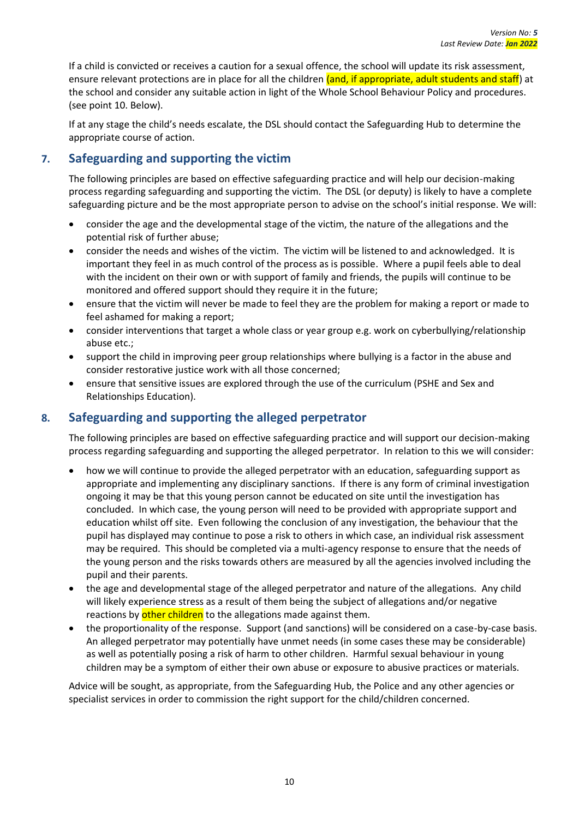If a child is convicted or receives a caution for a sexual offence, the school will update its risk assessment, ensure relevant protections are in place for all the children (and, if appropriate, adult students and staff) at the school and consider any suitable action in light of the Whole School Behaviour Policy and procedures. (see point 10. Below).

If at any stage the child's needs escalate, the DSL should contact the Safeguarding Hub to determine the appropriate course of action.

# <span id="page-16-0"></span>**7. Safeguarding and supporting the victim**

The following principles are based on effective safeguarding practice and will help our decision-making process regarding safeguarding and supporting the victim. The DSL (or deputy) is likely to have a complete safeguarding picture and be the most appropriate person to advise on the school's initial response. We will:

- consider the age and the developmental stage of the victim, the nature of the allegations and the potential risk of further abuse;
- consider the needs and wishes of the victim. The victim will be listened to and acknowledged. It is important they feel in as much control of the process as is possible. Where a pupil feels able to deal with the incident on their own or with support of family and friends, the pupils will continue to be monitored and offered support should they require it in the future;
- ensure that the victim will never be made to feel they are the problem for making a report or made to feel ashamed for making a report;
- consider interventions that target a whole class or year group e.g. work on cyberbullying/relationship abuse etc.;
- support the child in improving peer group relationships where bullying is a factor in the abuse and consider restorative justice work with all those concerned;
- ensure that sensitive issues are explored through the use of the curriculum (PSHE and Sex and Relationships Education).

# <span id="page-16-1"></span>**8. Safeguarding and supporting the alleged perpetrator**

The following principles are based on effective safeguarding practice and will support our decision-making process regarding safeguarding and supporting the alleged perpetrator. In relation to this we will consider:

- how we will continue to provide the alleged perpetrator with an education, safeguarding support as appropriate and implementing any disciplinary sanctions. If there is any form of criminal investigation ongoing it may be that this young person cannot be educated on site until the investigation has concluded. In which case, the young person will need to be provided with appropriate support and education whilst off site. Even following the conclusion of any investigation, the behaviour that the pupil has displayed may continue to pose a risk to others in which case, an individual risk assessment may be required. This should be completed via a multi-agency response to ensure that the needs of the young person and the risks towards others are measured by all the agencies involved including the pupil and their parents.
- the age and developmental stage of the alleged perpetrator and nature of the allegations. Any child will likely experience stress as a result of them being the subject of allegations and/or negative reactions by other children to the allegations made against them.
- the proportionality of the response. Support (and sanctions) will be considered on a case-by-case basis. An alleged perpetrator may potentially have unmet needs (in some cases these may be considerable) as well as potentially posing a risk of harm to other children. Harmful sexual behaviour in young children may be a symptom of either their own abuse or exposure to abusive practices or materials.

Advice will be sought, as appropriate, from the Safeguarding Hub, the Police and any other agencies or specialist services in order to commission the right support for the child/children concerned.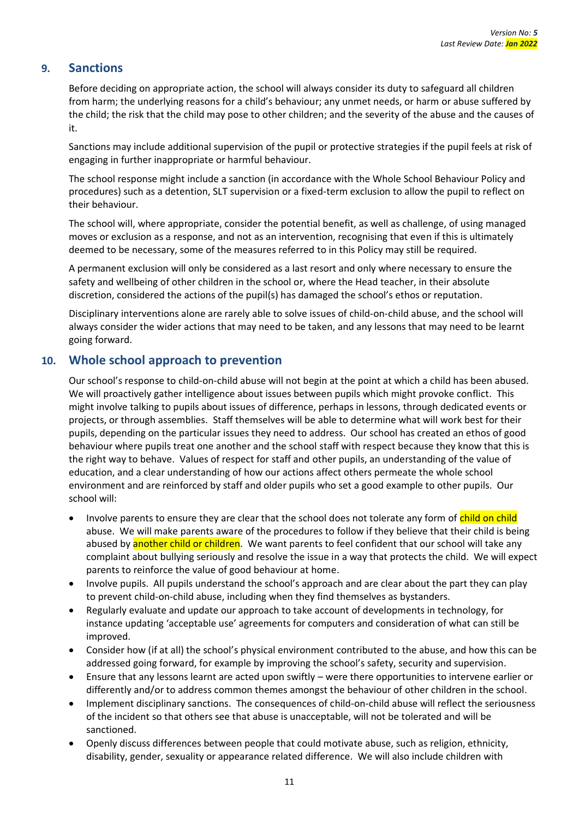# <span id="page-17-0"></span>**9. Sanctions**

Before deciding on appropriate action, the school will always consider its duty to safeguard all children from harm; the underlying reasons for a child's behaviour; any unmet needs, or harm or abuse suffered by the child; the risk that the child may pose to other children; and the severity of the abuse and the causes of it.

Sanctions may include additional supervision of the pupil or protective strategies if the pupil feels at risk of engaging in further inappropriate or harmful behaviour.

The school response might include a sanction (in accordance with the Whole School Behaviour Policy and procedures) such as a detention, SLT supervision or a fixed-term exclusion to allow the pupil to reflect on their behaviour.

The school will, where appropriate, consider the potential benefit, as well as challenge, of using managed moves or exclusion as a response, and not as an intervention, recognising that even if this is ultimately deemed to be necessary, some of the measures referred to in this Policy may still be required.

A permanent exclusion will only be considered as a last resort and only where necessary to ensure the safety and wellbeing of other children in the school or, where the Head teacher, in their absolute discretion, considered the actions of the pupil(s) has damaged the school's ethos or reputation.

Disciplinary interventions alone are rarely able to solve issues of child-on-child abuse, and the school will always consider the wider actions that may need to be taken, and any lessons that may need to be learnt going forward.

# <span id="page-17-1"></span>**10. Whole school approach to prevention**

Our school's response to child-on-child abuse will not begin at the point at which a child has been abused. We will proactively gather intelligence about issues between pupils which might provoke conflict. This might involve talking to pupils about issues of difference, perhaps in lessons, through dedicated events or projects, or through assemblies. Staff themselves will be able to determine what will work best for their pupils, depending on the particular issues they need to address. Our school has created an ethos of good behaviour where pupils treat one another and the school staff with respect because they know that this is the right way to behave. Values of respect for staff and other pupils, an understanding of the value of education, and a clear understanding of how our actions affect others permeate the whole school environment and are reinforced by staff and older pupils who set a good example to other pupils. Our school will:

- Involve parents to ensure they are clear that the school does not tolerate any form of child on child abuse. We will make parents aware of the procedures to follow if they believe that their child is being abused by **another child or children**. We want parents to feel confident that our school will take any complaint about bullying seriously and resolve the issue in a way that protects the child. We will expect parents to reinforce the value of good behaviour at home.
- Involve pupils. All pupils understand the school's approach and are clear about the part they can play to prevent child-on-child abuse, including when they find themselves as bystanders.
- Regularly evaluate and update our approach to take account of developments in technology, for instance updating 'acceptable use' agreements for computers and consideration of what can still be improved.
- Consider how (if at all) the school's physical environment contributed to the abuse, and how this can be addressed going forward, for example by improving the school's safety, security and supervision.
- Ensure that any lessons learnt are acted upon swiftly were there opportunities to intervene earlier or differently and/or to address common themes amongst the behaviour of other children in the school.
- Implement disciplinary sanctions. The consequences of child-on-child abuse will reflect the seriousness of the incident so that others see that abuse is unacceptable, will not be tolerated and will be sanctioned.
- Openly discuss differences between people that could motivate abuse, such as religion, ethnicity, disability, gender, sexuality or appearance related difference. We will also include children with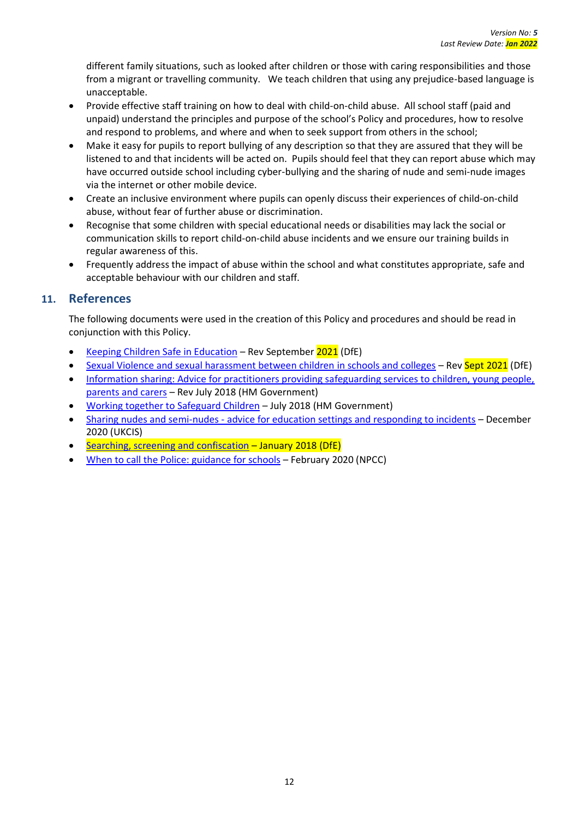different family situations, such as looked after children or those with caring responsibilities and those from a migrant or travelling community. We teach children that using any prejudice-based language is unacceptable.

- Provide effective staff training on how to deal with child-on-child abuse. All school staff (paid and unpaid) understand the principles and purpose of the school's Policy and procedures, how to resolve and respond to problems, and where and when to seek support from others in the school;
- Make it easy for pupils to report bullying of any description so that they are assured that they will be listened to and that incidents will be acted on. Pupils should feel that they can report abuse which may have occurred outside school including cyber-bullying and the sharing of nude and semi-nude images via the internet or other mobile device.
- Create an inclusive environment where pupils can openly discuss their experiences of child-on-child abuse, without fear of further abuse or discrimination.
- Recognise that some children with special educational needs or disabilities may lack the social or communication skills to report child-on-child abuse incidents and we ensure our training builds in regular awareness of this.
- Frequently address the impact of abuse within the school and what constitutes appropriate, safe and acceptable behaviour with our children and staff.

# <span id="page-18-0"></span>**11. References**

The following documents were used in the creation of this Policy and procedures and should be read in conjunction with this Policy.

- [Keeping Children Safe in Education](https://assets.publishing.service.gov.uk/government/uploads/system/uploads/attachment_data/file/892394/Keeping_children_safe_in_education_2020.pdf) Rev September 2021 (DfE)
- [Sexual Violence and sexual harassment between children in schools and colleges](https://www.gov.uk/government/publications/sexual-violence-and-sexual-harassment-between-children-in-schools-and-colleges) Rev Sept 2021 (DfE)
- [Information sharing: Advice for practitioners providing safeguarding services to children, young people,](https://www.gov.uk/government/publications/safeguarding-practitioners-information-sharing-advice)  [parents and carers](https://www.gov.uk/government/publications/safeguarding-practitioners-information-sharing-advice) – Rev July 2018 (HM Government)
- [Working together to Safeguard Children](https://www.gov.uk/government/publications/working-together-to-safeguard-children--2) July 2018 (HM Government)
- Sharing nudes and semi-nudes [advice for education settings and responding to incidents](https://assets.publishing.service.gov.uk/government/uploads/system/uploads/attachment_data/file/947545/UKCIS_sharing_nudes_and_semi_nudes_advice_for_education_settings_V2.pdf) December 2020 (UKCIS)
- [Searching, screening and confiscation](https://assets.publishing.service.gov.uk/government/uploads/system/uploads/attachment_data/file/674416/Searching_screening_and_confiscation.pdf) January 2018 (DfE)
- [When to call the Police: guidance for schools](https://www.npcc.police.uk/documents/Children%20and%20Young%20people/When%20to%20call%20police%20guidance%20for%20schools%20and%20colleges.pdf) February 2020 (NPCC)